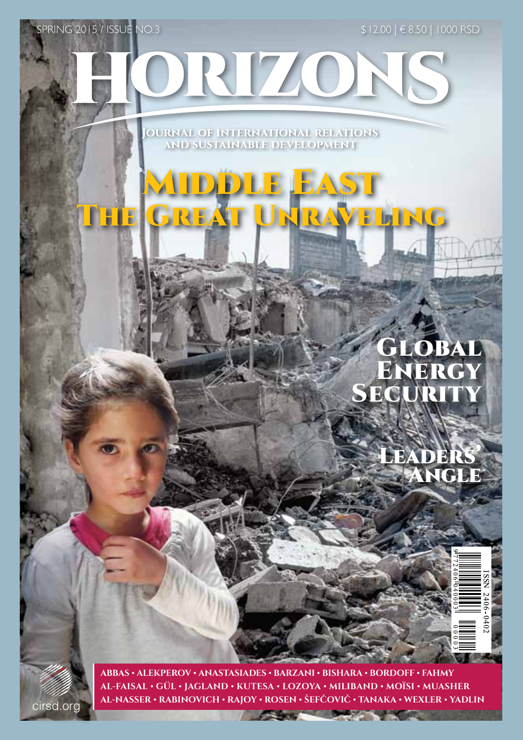DRIZONS

SPRING 2015 / ISSUE NO.3 \$ 12.00 | € 8.50 | 1000 RSD

**OURNAL OF INTERNATIONAL RELATIONS AND SUSTAINABLE DEVELOPMENT** 

MIDDLE EAST

The Great Unraveling

## LOBAL ENERGY SECUR

LEADER

Angle

cirsd.org

**1 Al-Nasser • Rabinovich • Rajoy • Rosen • Šefcovic • Tanaka • Wexler • YadlinAbbas • Alekperov • Anastasiades • Barzani • Bishara • Bordoff • Fahmy al-Faisal • Gül • Jagland • Kutesa • Lozoya • Miliband • Moïsi • Muasher**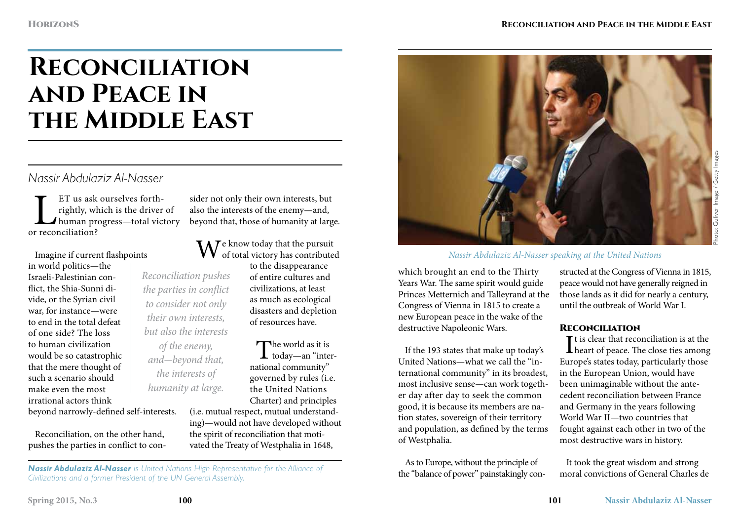# **Reconciliation and Peace in**  THE MIDDLE EAST

### *Nassir Abdulaziz Al-Nasser*

ET us ask ourselves forth-<br>rightly, which is the driver<br>human progress—total vic<br>r reconciliation? rightly, which is the driver of human progress—total victory or reconciliation?

Imagine if current flashpoints in world politics—the Israeli-Palestinian conflict, the Shia-Sunni divide, or the Syrian civil war, for instance—were to end in the total defeat of one side? The loss to human civilization would be so catastrophic that the mere thought of such a scenario should make even the most irrational actors think beyond narrowly-defined self-interests.

Reconciliation, on the other hand, pushes the parties in conflict to con-

*Reconciliation pushes the parties in conflict to consider not only their own interests, but also the interests of the enemy, and*-*beyond that, the interests of humanity at large.* 

sider not only their own interests, but also the interests of the enemy—and, beyond that, those of humanity at large.

 $\rm W^{\textrm{e}}$  know today that the pursuit of total victory has contributed

to the disappearance of entire cultures and civilizations, at least as much as ecological disasters and depletion of resources have.

The world as it is<br>today—an "international community" governed by rules (i.e. the United Nations Charter) and principles

(i.e. mutual respect, mutual understanding)—would not have developed without the spirit of reconciliation that motivated the Treaty of Westphalia in 1648,



#### *Nassir Abdulaziz Al-Nasser speaking at the United Nations*

which brought an end to the Thirty Years War. The same spirit would guide Princes Metternich and Talleyrand at the Congress of Vienna in 1815 to create a new European peace in the wake of the destructive Napoleonic Wars.

If the 193 states that make up today's United Nations—what we call the "international community" in its broadest, most inclusive sense—can work together day after day to seek the common good, it is because its members are nation states, sovereign of their territory and population, as defined by the terms of Westphalia.

As to Europe, without the principle of the "balance of power" painstakingly constructed at the Congress of Vienna in 1815, peace would not have generally reigned in those lands as it did for nearly a century, until the outbreak of World War I.

#### **RECONCILIATION**

It is clear that reconciliation is at the<br>heart of peace. The close ties among  $\mathbf{T}$ t is clear that reconciliation is at the Europe's states today, particularly those in the European Union, would have been unimaginable without the antecedent reconciliation between France and Germany in the years following World War II—two countries that fought against each other in two of the most destructive wars in history.

It took the great wisdom and strong moral convictions of General Charles de

Photo: Guliver Image / Getty Images Image /

*Nassir Abdulaziz Al-Nasser is United Nations High Representative for the Alliance of Civilizations and a former President of the UN General Assembly.*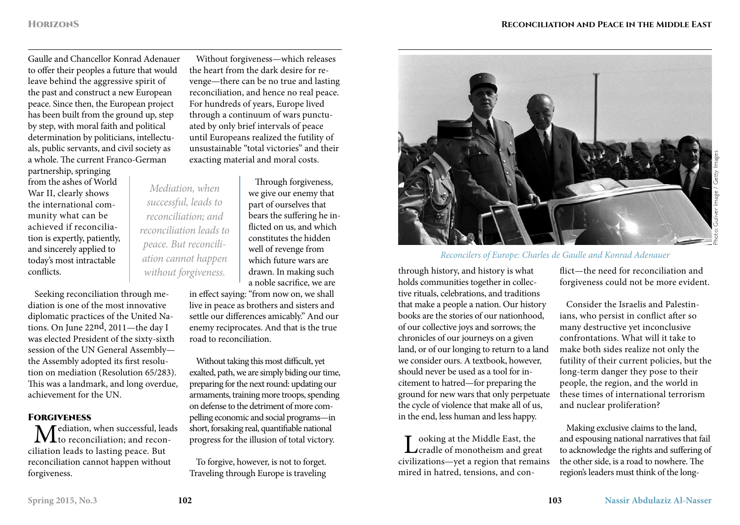Gaulle and Chancellor Konrad Adenauer to offer their peoples a future that would leave behind the aggressive spirit of the past and construct a new European peace. Since then, the European project has been built from the ground up, step by step, with moral faith and political determination by politicians, intellectuals, public servants, and civil society as a whole. The current Franco-German

partnership, springing from the ashes of World War II, clearly shows the international community what can be achieved if reconciliation is expertly, patiently, and sincerely applied to today's most intractable conflicts.

Seeking reconciliation through mediation is one of the most innovative diplomatic practices of the United Nations. On June 22nd, 2011—the day I was elected President of the sixty-sixth session of the UN General Assembly the Assembly adopted its first resolution on mediation (Resolution 65/283). This was a landmark, and long overdue, achievement for the UN.

#### **FORGIVENESS**

Mediation, when successful, leads  $\mathbf{T}_\mathrm{to}$  reconciliation; and reconciliation leads to lasting peace. But reconciliation cannot happen without forgiveness.

Without forgiveness—which releases the heart from the dark desire for revenge—there can be no true and lasting reconciliation, and hence no real peace. For hundreds of years, Europe lived through a continuum of wars punctuated by only brief intervals of peace until Europeans realized the futility of unsustainable "total victories" and their exacting material and moral costs.

*Mediation, when successful, leads to reconciliation; and reconciliation leads to peace. But reconciliation cannot happen* 

Through forgiveness, we give our enemy that part of ourselves that bears the suffering he inflicted on us, and which constitutes the hidden well of revenge from which future wars are drawn. In making such a noble sacrifice, we are

in effect saying: "from now on, we shall live in peace as brothers and sisters and settle our differences amicably." And our enemy reciprocates. And that is the true road to reconciliation.

Without taking this most difficult, yet exalted, path, we are simply biding our time, preparing for the next round: updating our armaments, training more troops, spending on defense to the detriment of more compelling economic and social programs—in short, forsaking real, quantifiable national progress for the illusion of total victory.

To forgive, however, is not to forget. Traveling through Europe is traveling



#### *Reconcilers of Europe: Charles de Gaulle and Konrad Adenauer*

*without forgiveness.* drawn. In making such through history, and history is what holds communities together in collective rituals, celebrations, and traditions that make a people a nation. Our history books are the stories of our nationhood, of our collective joys and sorrows; the chronicles of our journeys on a given land, or of our longing to return to a land we consider ours. A textbook, however, should never be used as a tool for incitement to hatred—for preparing the ground for new wars that only perpetuate the cycle of violence that make all of us, in the end, less human and less happy.

> Looking at the Middle East, the<br>Cradle of monotheism and great civilizations—yet a region that remains mired in hatred, tensions, and con

flict—the need for reconciliation and forgiveness could not be more evident.

Consider the Israelis and Palestinians, who persist in conflict after so many destructive yet inconclusive confrontations. What will it take to make both sides realize not only the futility of their current policies, but the long-term danger they pose to their people, the region, and the world in these times of international terrorism and nuclear proliferation?

Making exclusive claims to the land, and espousing national narratives that fail to acknowledge the rights and suffering of the other side, is a road to nowhere. The region's leaders must think of the long